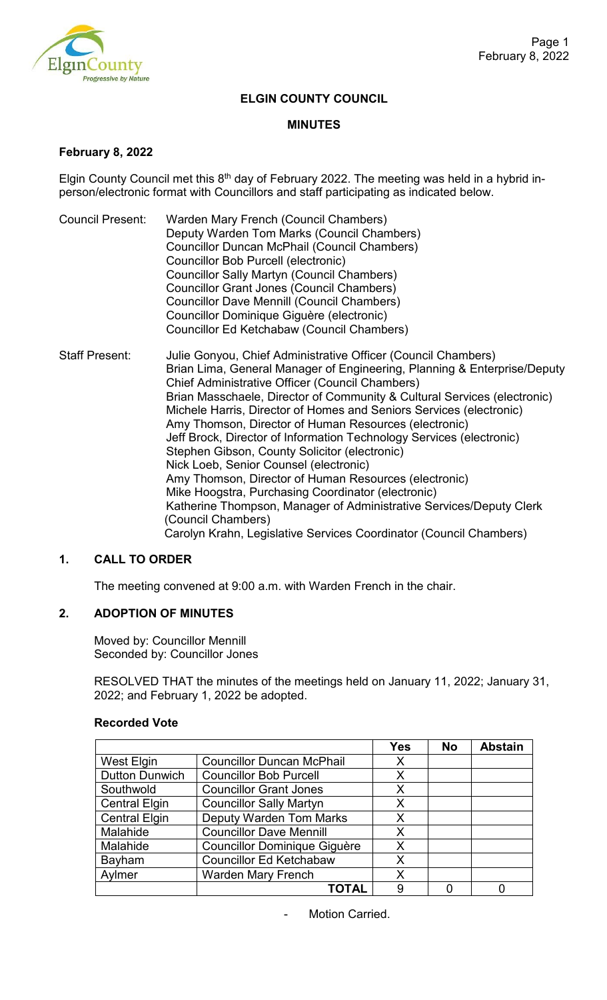

### **ELGIN COUNTY COUNCIL**

#### **MINUTES**

## **February 8, 2022**

Elgin County Council met this  $8<sup>th</sup>$  day of February 2022. The meeting was held in a hybrid inperson/electronic format with Councillors and staff participating as indicated below.

- Council Present: Warden Mary French (Council Chambers) Deputy Warden Tom Marks (Council Chambers) Councillor Duncan McPhail (Council Chambers) Councillor Bob Purcell (electronic) Councillor Sally Martyn (Council Chambers) Councillor Grant Jones (Council Chambers) Councillor Dave Mennill (Council Chambers) Councillor Dominique Giguère (electronic) Councillor Ed Ketchabaw (Council Chambers)
- Staff Present: Julie Gonyou, Chief Administrative Officer (Council Chambers) Brian Lima, General Manager of Engineering, Planning & Enterprise/Deputy Chief Administrative Officer (Council Chambers) Brian Masschaele, Director of Community & Cultural Services (electronic) Michele Harris, Director of Homes and Seniors Services (electronic) Amy Thomson, Director of Human Resources (electronic) Jeff Brock, Director of Information Technology Services (electronic) Stephen Gibson, County Solicitor (electronic) Nick Loeb, Senior Counsel (electronic) Amy Thomson, Director of Human Resources (electronic) Mike Hoogstra, Purchasing Coordinator (electronic) Katherine Thompson, Manager of Administrative Services/Deputy Clerk (Council Chambers) Carolyn Krahn, Legislative Services Coordinator (Council Chambers)

# **1. CALL TO ORDER**

The meeting convened at 9:00 a.m. with Warden French in the chair.

# **2. ADOPTION OF MINUTES**

Moved by: Councillor Mennill Seconded by: Councillor Jones

RESOLVED THAT the minutes of the meetings held on January 11, 2022; January 31, 2022; and February 1, 2022 be adopted.

|                       |                                     | <b>Yes</b> | <b>No</b> | <b>Abstain</b> |
|-----------------------|-------------------------------------|------------|-----------|----------------|
| <b>West Elgin</b>     | <b>Councillor Duncan McPhail</b>    | X          |           |                |
| <b>Dutton Dunwich</b> | <b>Councillor Bob Purcell</b>       | X          |           |                |
| Southwold             | <b>Councillor Grant Jones</b>       | X          |           |                |
| <b>Central Elgin</b>  | <b>Councillor Sally Martyn</b>      | X          |           |                |
| <b>Central Elgin</b>  | <b>Deputy Warden Tom Marks</b>      | X          |           |                |
| Malahide              | <b>Councillor Dave Mennill</b>      | X          |           |                |
| Malahide              | <b>Councillor Dominique Giguère</b> | X          |           |                |
| Bayham                | <b>Councillor Ed Ketchabaw</b>      | X          |           |                |
| Aylmer                | <b>Warden Mary French</b>           | X          |           |                |
|                       | ΤΟΤΑΙ                               | 9          |           |                |

Motion Carried.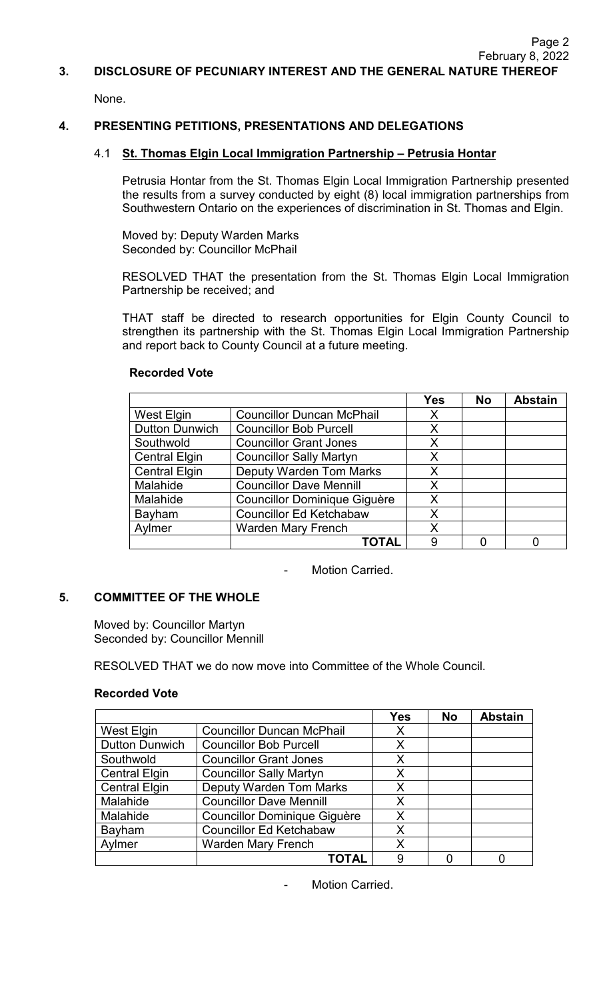#### **3. DISCLOSURE OF PECUNIARY INTEREST AND THE GENERAL NATURE THEREOF**

None.

## **4. PRESENTING PETITIONS, PRESENTATIONS AND DELEGATIONS**

### 4.1 **St. Thomas Elgin Local Immigration Partnership – Petrusia Hontar**

Petrusia Hontar from the St. Thomas Elgin Local Immigration Partnership presented the results from a survey conducted by eight (8) local immigration partnerships from Southwestern Ontario on the experiences of discrimination in St. Thomas and Elgin.

Moved by: Deputy Warden Marks Seconded by: Councillor McPhail

RESOLVED THAT the presentation from the St. Thomas Elgin Local Immigration Partnership be received; and

THAT staff be directed to research opportunities for Elgin County Council to strengthen its partnership with the St. Thomas Elgin Local Immigration Partnership and report back to County Council at a future meeting.

# **Recorded Vote**

|                       |                                     | <b>Yes</b> | <b>No</b> | <b>Abstain</b> |
|-----------------------|-------------------------------------|------------|-----------|----------------|
| West Elgin            | <b>Councillor Duncan McPhail</b>    | X          |           |                |
| <b>Dutton Dunwich</b> | <b>Councillor Bob Purcell</b>       | X          |           |                |
| Southwold             | <b>Councillor Grant Jones</b>       | X          |           |                |
| <b>Central Elgin</b>  | <b>Councillor Sally Martyn</b>      | X          |           |                |
| <b>Central Elgin</b>  | <b>Deputy Warden Tom Marks</b>      | X          |           |                |
| Malahide              | <b>Councillor Dave Mennill</b>      | X          |           |                |
| Malahide              | <b>Councillor Dominique Giguère</b> | Χ          |           |                |
| Bayham                | <b>Councillor Ed Ketchabaw</b>      | X          |           |                |
| Aylmer                | <b>Warden Mary French</b>           | Χ          |           |                |
|                       | ΤΟΤΑΙ                               | 9          |           |                |

Motion Carried.

#### **5. COMMITTEE OF THE WHOLE**

Moved by: Councillor Martyn Seconded by: Councillor Mennill

RESOLVED THAT we do now move into Committee of the Whole Council.

#### **Recorded Vote**

|                       |                                     | <b>Yes</b> | <b>No</b> | <b>Abstain</b> |
|-----------------------|-------------------------------------|------------|-----------|----------------|
| West Elgin            | <b>Councillor Duncan McPhail</b>    | X          |           |                |
| <b>Dutton Dunwich</b> | <b>Councillor Bob Purcell</b>       | X          |           |                |
| Southwold             | <b>Councillor Grant Jones</b>       | X          |           |                |
| <b>Central Elgin</b>  | <b>Councillor Sally Martyn</b>      | X          |           |                |
| <b>Central Elgin</b>  | <b>Deputy Warden Tom Marks</b>      | X          |           |                |
| Malahide              | <b>Councillor Dave Mennill</b>      | X          |           |                |
| Malahide              | <b>Councillor Dominique Giguère</b> | X          |           |                |
| Bayham                | <b>Councillor Ed Ketchabaw</b>      | X          |           |                |
| Aylmer                | <b>Warden Mary French</b>           | X          |           |                |
|                       | <b>TOTAI</b>                        | 9          |           |                |

Motion Carried.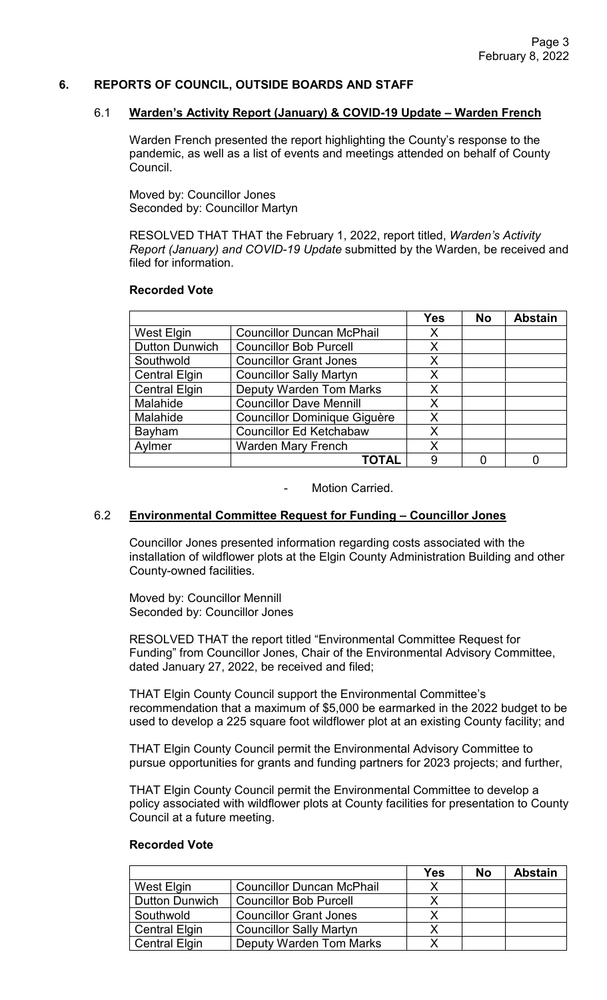### **6. REPORTS OF COUNCIL, OUTSIDE BOARDS AND STAFF**

#### 6.1 **Warden's Activity Report (January) & COVID-19 Update – Warden French**

Warden French presented the report highlighting the County's response to the pandemic, as well as a list of events and meetings attended on behalf of County Council.

Moved by: Councillor Jones Seconded by: Councillor Martyn

RESOLVED THAT THAT the February 1, 2022, report titled, *Warden's Activity Report (January) and COVID-19 Update* submitted by the Warden, be received and filed for information.

#### **Recorded Vote**

|                       |                                     | <b>Yes</b> | <b>No</b> | <b>Abstain</b> |
|-----------------------|-------------------------------------|------------|-----------|----------------|
| <b>West Elgin</b>     | <b>Councillor Duncan McPhail</b>    | Х          |           |                |
| <b>Dutton Dunwich</b> | <b>Councillor Bob Purcell</b>       | X          |           |                |
| Southwold             | <b>Councillor Grant Jones</b>       | Χ          |           |                |
| <b>Central Elgin</b>  | <b>Councillor Sally Martyn</b>      | X          |           |                |
| <b>Central Elgin</b>  | <b>Deputy Warden Tom Marks</b>      | X          |           |                |
| Malahide              | <b>Councillor Dave Mennill</b>      | X          |           |                |
| Malahide              | <b>Councillor Dominique Giguère</b> | X          |           |                |
| Bayham                | <b>Councillor Ed Ketchabaw</b>      | X          |           |                |
| Aylmer                | <b>Warden Mary French</b>           | X          |           |                |
|                       | <b>TOTAL</b>                        | 9          |           |                |

- Motion Carried.

#### 6.2 **Environmental Committee Request for Funding – Councillor Jones**

Councillor Jones presented information regarding costs associated with the installation of wildflower plots at the Elgin County Administration Building and other County-owned facilities.

Moved by: Councillor Mennill Seconded by: Councillor Jones

RESOLVED THAT the report titled "Environmental Committee Request for Funding" from Councillor Jones, Chair of the Environmental Advisory Committee, dated January 27, 2022, be received and filed;

THAT Elgin County Council support the Environmental Committee's recommendation that a maximum of \$5,000 be earmarked in the 2022 budget to be used to develop a 225 square foot wildflower plot at an existing County facility; and

THAT Elgin County Council permit the Environmental Advisory Committee to pursue opportunities for grants and funding partners for 2023 projects; and further,

THAT Elgin County Council permit the Environmental Committee to develop a policy associated with wildflower plots at County facilities for presentation to County Council at a future meeting.

|                       |                                  | Yes | <b>No</b> | <b>Abstain</b> |
|-----------------------|----------------------------------|-----|-----------|----------------|
| West Elgin            | <b>Councillor Duncan McPhail</b> | X   |           |                |
| <b>Dutton Dunwich</b> | <b>Councillor Bob Purcell</b>    |     |           |                |
| Southwold             | <b>Councillor Grant Jones</b>    |     |           |                |
| <b>Central Elgin</b>  | <b>Councillor Sally Martyn</b>   |     |           |                |
| <b>Central Elgin</b>  | <b>Deputy Warden Tom Marks</b>   |     |           |                |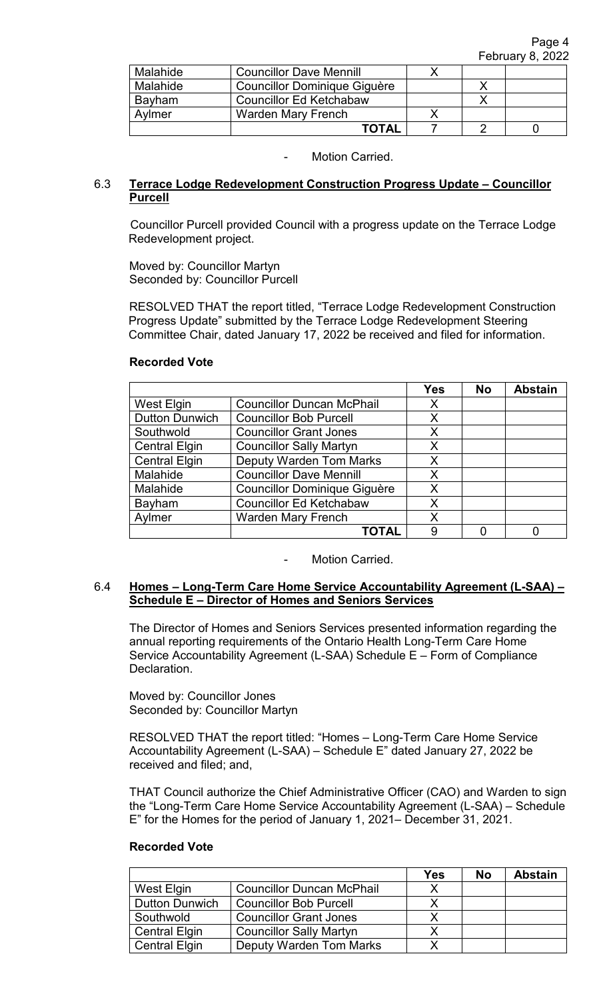| Malahide | <b>Councillor Dave Mennill</b> |  |  |
|----------|--------------------------------|--|--|
| Malahide | Councillor Dominique Giguère   |  |  |
| Bayham   | <b>Councillor Ed Ketchabaw</b> |  |  |
| Aylmer   | <b>Warden Mary French</b>      |  |  |
|          | TOTAL                          |  |  |

# 6.3 **Terrace Lodge Redevelopment Construction Progress Update – Councillor Purcell**

Councillor Purcell provided Council with a progress update on the Terrace Lodge Redevelopment project.

Moved by: Councillor Martyn Seconded by: Councillor Purcell

RESOLVED THAT the report titled, "Terrace Lodge Redevelopment Construction Progress Update" submitted by the Terrace Lodge Redevelopment Steering Committee Chair, dated January 17, 2022 be received and filed for information.

# **Recorded Vote**

|                       |                                     | <b>Yes</b> | <b>No</b> | <b>Abstain</b> |
|-----------------------|-------------------------------------|------------|-----------|----------------|
| <b>West Elgin</b>     | <b>Councillor Duncan McPhail</b>    | X          |           |                |
| <b>Dutton Dunwich</b> | <b>Councillor Bob Purcell</b>       | X          |           |                |
| Southwold             | <b>Councillor Grant Jones</b>       | X          |           |                |
| <b>Central Elgin</b>  | <b>Councillor Sally Martyn</b>      | X          |           |                |
| <b>Central Elgin</b>  | <b>Deputy Warden Tom Marks</b>      | X          |           |                |
| Malahide              | <b>Councillor Dave Mennill</b>      | X          |           |                |
| Malahide              | <b>Councillor Dominique Giguère</b> | X          |           |                |
| Bayham                | <b>Councillor Ed Ketchabaw</b>      | X          |           |                |
| Aylmer                | <b>Warden Mary French</b>           | X          |           |                |
|                       | TOTAL                               | 9          |           |                |

Motion Carried.

### 6.4 **Homes – Long-Term Care Home Service Accountability Agreement (L-SAA) – Schedule E – Director of Homes and Seniors Services**

The Director of Homes and Seniors Services presented information regarding the annual reporting requirements of the Ontario Health Long-Term Care Home Service Accountability Agreement (L-SAA) Schedule E – Form of Compliance Declaration.

Moved by: Councillor Jones Seconded by: Councillor Martyn

RESOLVED THAT the report titled: "Homes – Long-Term Care Home Service Accountability Agreement (L-SAA) – Schedule E" dated January 27, 2022 be received and filed; and,

THAT Council authorize the Chief Administrative Officer (CAO) and Warden to sign the "Long-Term Care Home Service Accountability Agreement (L-SAA) – Schedule E" for the Homes for the period of January 1, 2021– December 31, 2021.

|                       |                                  | Yes | <b>No</b> | <b>Abstain</b> |
|-----------------------|----------------------------------|-----|-----------|----------------|
| West Elgin            | <b>Councillor Duncan McPhail</b> |     |           |                |
| <b>Dutton Dunwich</b> | <b>Councillor Bob Purcell</b>    |     |           |                |
| Southwold             | <b>Councillor Grant Jones</b>    |     |           |                |
| <b>Central Elgin</b>  | <b>Councillor Sally Martyn</b>   |     |           |                |
| <b>Central Elgin</b>  | <b>Deputy Warden Tom Marks</b>   |     |           |                |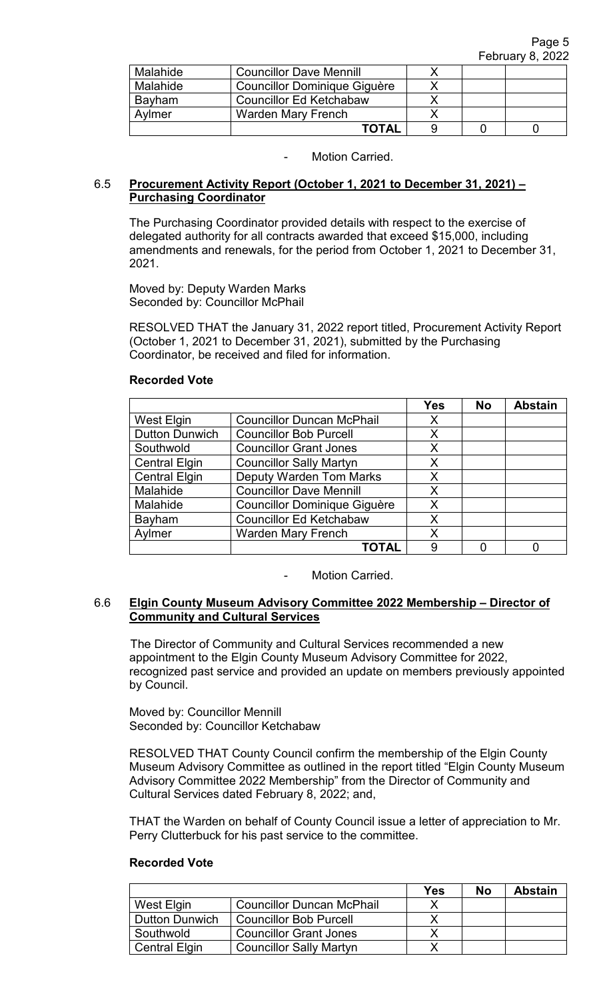| Malahide | <b>Councillor Dave Mennill</b> |  |  |
|----------|--------------------------------|--|--|
| Malahide | Councillor Dominique Giguère   |  |  |
| Bayham   | <b>Councillor Ed Ketchabaw</b> |  |  |
| Avlmer   | <b>Warden Mary French</b>      |  |  |
|          | TOTAL                          |  |  |

## 6.5 **Procurement Activity Report (October 1, 2021 to December 31, 2021) – Purchasing Coordinator**

The Purchasing Coordinator provided details with respect to the exercise of delegated authority for all contracts awarded that exceed \$15,000, including amendments and renewals, for the period from October 1, 2021 to December 31, 2021.

Moved by: Deputy Warden Marks Seconded by: Councillor McPhail

RESOLVED THAT the January 31, 2022 report titled, Procurement Activity Report (October 1, 2021 to December 31, 2021), submitted by the Purchasing Coordinator, be received and filed for information.

### **Recorded Vote**

|                       |                                     | <b>Yes</b> | <b>No</b> | <b>Abstain</b> |
|-----------------------|-------------------------------------|------------|-----------|----------------|
| West Elgin            | <b>Councillor Duncan McPhail</b>    | X          |           |                |
| <b>Dutton Dunwich</b> | <b>Councillor Bob Purcell</b>       | X          |           |                |
| Southwold             | <b>Councillor Grant Jones</b>       | X          |           |                |
| <b>Central Elgin</b>  | <b>Councillor Sally Martyn</b>      | X          |           |                |
| <b>Central Elgin</b>  | <b>Deputy Warden Tom Marks</b>      | X          |           |                |
| Malahide              | <b>Councillor Dave Mennill</b>      | X          |           |                |
| Malahide              | <b>Councillor Dominique Giguère</b> | X          |           |                |
| Bayham                | <b>Councillor Ed Ketchabaw</b>      | X          |           |                |
| Aylmer                | <b>Warden Mary French</b>           | X          |           |                |
|                       | ΤΟΤΑΙ                               | 9          |           |                |

Motion Carried.

### 6.6 **Elgin County Museum Advisory Committee 2022 Membership – Director of Community and Cultural Services**

The Director of Community and Cultural Services recommended a new appointment to the Elgin County Museum Advisory Committee for 2022, recognized past service and provided an update on members previously appointed by Council.

Moved by: Councillor Mennill Seconded by: Councillor Ketchabaw

RESOLVED THAT County Council confirm the membership of the Elgin County Museum Advisory Committee as outlined in the report titled "Elgin County Museum Advisory Committee 2022 Membership" from the Director of Community and Cultural Services dated February 8, 2022; and,

THAT the Warden on behalf of County Council issue a letter of appreciation to Mr. Perry Clutterbuck for his past service to the committee.

|                       |                                  | <b>Yes</b> | No | <b>Abstain</b> |
|-----------------------|----------------------------------|------------|----|----------------|
| West Elgin            | <b>Councillor Duncan McPhail</b> |            |    |                |
| <b>Dutton Dunwich</b> | <b>Councillor Bob Purcell</b>    |            |    |                |
| Southwold             | <b>Councillor Grant Jones</b>    |            |    |                |
| <b>Central Elgin</b>  | <b>Councillor Sally Martyn</b>   |            |    |                |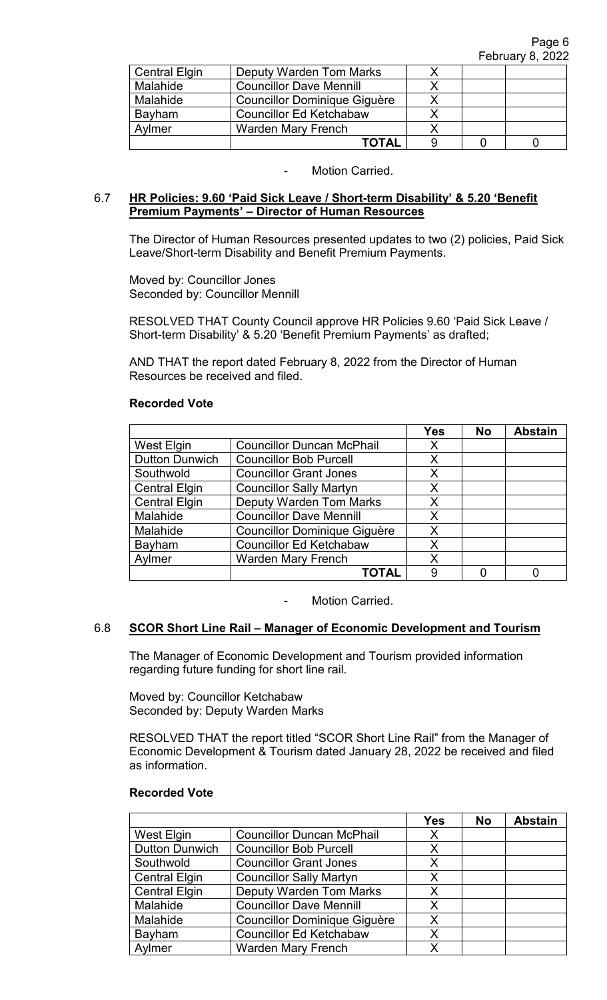| <b>Central Elgin</b> | Deputy Warden Tom Marks             |  |  |
|----------------------|-------------------------------------|--|--|
| Malahide             | <b>Councillor Dave Mennill</b>      |  |  |
| Malahide             | <b>Councillor Dominique Giguère</b> |  |  |
| Bayham               | <b>Councillor Ed Ketchabaw</b>      |  |  |
| Aylmer               | <b>Warden Mary French</b>           |  |  |
|                      | <b>TOTAL</b>                        |  |  |

### 6.7 **HR Policies: 9.60 'Paid Sick Leave / Short-term Disability' & 5.20 'Benefit Premium Payments' – Director of Human Resources**

The Director of Human Resources presented updates to two (2) policies, Paid Sick Leave/Short-term Disability and Benefit Premium Payments.

Moved by: Councillor Jones Seconded by: Councillor Mennill

RESOLVED THAT County Council approve HR Policies 9.60 'Paid Sick Leave / Short-term Disability' & 5.20 'Benefit Premium Payments' as drafted;

AND THAT the report dated February 8, 2022 from the Director of Human Resources be received and filed.

#### **Recorded Vote**

|                       |                                     | <b>Yes</b> | <b>No</b> | <b>Abstain</b> |
|-----------------------|-------------------------------------|------------|-----------|----------------|
| West Elgin            | <b>Councillor Duncan McPhail</b>    | X          |           |                |
| <b>Dutton Dunwich</b> | <b>Councillor Bob Purcell</b>       | X          |           |                |
| Southwold             | <b>Councillor Grant Jones</b>       | Χ          |           |                |
| <b>Central Elgin</b>  | <b>Councillor Sally Martyn</b>      | X          |           |                |
| <b>Central Elgin</b>  | <b>Deputy Warden Tom Marks</b>      | X          |           |                |
| Malahide              | <b>Councillor Dave Mennill</b>      | Χ          |           |                |
| Malahide              | <b>Councillor Dominique Giguère</b> | X          |           |                |
| Bayham                | <b>Councillor Ed Ketchabaw</b>      | Χ          |           |                |
| Aylmer                | <b>Warden Mary French</b>           | Χ          |           |                |
|                       | TOTAL                               | 9          |           |                |

Motion Carried.

# 6.8 **SCOR Short Line Rail – Manager of Economic Development and Tourism**

The Manager of Economic Development and Tourism provided information regarding future funding for short line rail.

Moved by: Councillor Ketchabaw Seconded by: Deputy Warden Marks

RESOLVED THAT the report titled "SCOR Short Line Rail" from the Manager of Economic Development & Tourism dated January 28, 2022 be received and filed as information.

|                       |                                     | <b>Yes</b> | <b>No</b> | <b>Abstain</b> |
|-----------------------|-------------------------------------|------------|-----------|----------------|
| West Elgin            | <b>Councillor Duncan McPhail</b>    | X          |           |                |
| <b>Dutton Dunwich</b> | <b>Councillor Bob Purcell</b>       | X          |           |                |
| Southwold             | <b>Councillor Grant Jones</b>       | X          |           |                |
| <b>Central Elgin</b>  | <b>Councillor Sally Martyn</b>      | X          |           |                |
| <b>Central Elgin</b>  | <b>Deputy Warden Tom Marks</b>      | X          |           |                |
| Malahide              | <b>Councillor Dave Mennill</b>      | Χ          |           |                |
| Malahide              | <b>Councillor Dominique Giguère</b> | Χ          |           |                |
| Bayham                | <b>Councillor Ed Ketchabaw</b>      | X          |           |                |
| Aylmer                | <b>Warden Mary French</b>           | x          |           |                |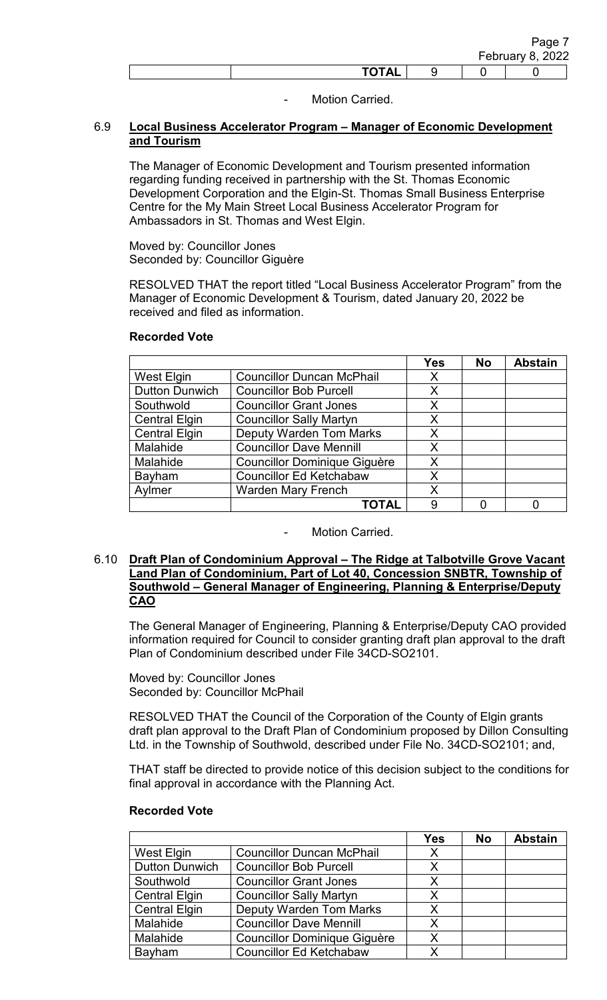|              |  | Page .<br>February 8, 2022 |
|--------------|--|----------------------------|
| <b>TOTAL</b> |  |                            |

# 6.9 **Local Business Accelerator Program – Manager of Economic Development and Tourism**

The Manager of Economic Development and Tourism presented information regarding funding received in partnership with the St. Thomas Economic Development Corporation and the Elgin-St. Thomas Small Business Enterprise Centre for the My Main Street Local Business Accelerator Program for Ambassadors in St. Thomas and West Elgin.

Moved by: Councillor Jones Seconded by: Councillor Giguère

RESOLVED THAT the report titled "Local Business Accelerator Program" from the Manager of Economic Development & Tourism, dated January 20, 2022 be received and filed as information.

|                       |                                     | Yes | <b>No</b> | <b>Abstain</b> |
|-----------------------|-------------------------------------|-----|-----------|----------------|
| West Elgin            | <b>Councillor Duncan McPhail</b>    | X   |           |                |
| <b>Dutton Dunwich</b> | <b>Councillor Bob Purcell</b>       | X   |           |                |
| Southwold             | <b>Councillor Grant Jones</b>       | Χ   |           |                |
| <b>Central Elgin</b>  | <b>Councillor Sally Martyn</b>      | X   |           |                |
| <b>Central Elgin</b>  | <b>Deputy Warden Tom Marks</b>      | X   |           |                |
| Malahide              | <b>Councillor Dave Mennill</b>      | X   |           |                |
| Malahide              | <b>Councillor Dominique Giguère</b> | X   |           |                |
| <b>Bayham</b>         | <b>Councillor Ed Ketchabaw</b>      | X   |           |                |
| Aylmer                | <b>Warden Mary French</b>           | Χ   |           |                |
|                       | ΤΟΤΑL                               | 9   |           |                |

### **Recorded Vote**

Motion Carried.

### 6.10 **Draft Plan of Condominium Approval – The Ridge at Talbotville Grove Vacant Land Plan of Condominium, Part of Lot 40, Concession SNBTR, Township of Southwold – General Manager of Engineering, Planning & Enterprise/Deputy CAO**

The General Manager of Engineering, Planning & Enterprise/Deputy CAO provided information required for Council to consider granting draft plan approval to the draft Plan of Condominium described under File 34CD-SO2101.

Moved by: Councillor Jones Seconded by: Councillor McPhail

RESOLVED THAT the Council of the Corporation of the County of Elgin grants draft plan approval to the Draft Plan of Condominium proposed by Dillon Consulting Ltd. in the Township of Southwold, described under File No. 34CD-SO2101; and,

THAT staff be directed to provide notice of this decision subject to the conditions for final approval in accordance with the Planning Act.

|                       |                                     | Yes | <b>No</b> | <b>Abstain</b> |
|-----------------------|-------------------------------------|-----|-----------|----------------|
| West Elgin            | <b>Councillor Duncan McPhail</b>    | Х   |           |                |
| <b>Dutton Dunwich</b> | <b>Councillor Bob Purcell</b>       | X   |           |                |
| Southwold             | <b>Councillor Grant Jones</b>       | X   |           |                |
| <b>Central Elgin</b>  | <b>Councillor Sally Martyn</b>      | х   |           |                |
| <b>Central Elgin</b>  | <b>Deputy Warden Tom Marks</b>      | X   |           |                |
| Malahide              | <b>Councillor Dave Mennill</b>      | X   |           |                |
| Malahide              | <b>Councillor Dominique Giguère</b> | X   |           |                |
| Bayham                | <b>Councillor Ed Ketchabaw</b>      | X   |           |                |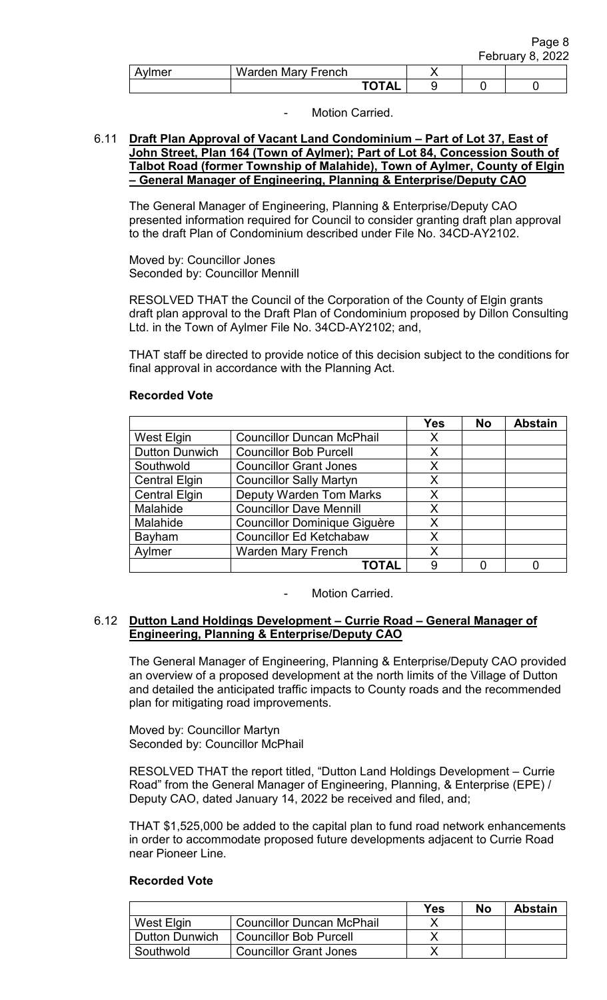|        |                    |              |  | Page o<br><b>February 8, 2022</b> |
|--------|--------------------|--------------|--|-----------------------------------|
| Aylmer | Warden Mary French |              |  |                                   |
|        |                    | <b>TOTAL</b> |  |                                   |

 $P - P$ 

# Motion Carried.

## 6.11 **Draft Plan Approval of Vacant Land Condominium – Part of Lot 37, East of John Street, Plan 164 (Town of Aylmer); Part of Lot 84, Concession South of Talbot Road (former Township of Malahide), Town of Aylmer, County of Elgin – General Manager of Engineering, Planning & Enterprise/Deputy CAO**

The General Manager of Engineering, Planning & Enterprise/Deputy CAO presented information required for Council to consider granting draft plan approval to the draft Plan of Condominium described under File No. 34CD-AY2102.

Moved by: Councillor Jones Seconded by: Councillor Mennill

RESOLVED THAT the Council of the Corporation of the County of Elgin grants draft plan approval to the Draft Plan of Condominium proposed by Dillon Consulting Ltd. in the Town of Aylmer File No. 34CD-AY2102; and,

THAT staff be directed to provide notice of this decision subject to the conditions for final approval in accordance with the Planning Act.

# **Yes No Abstain** West Elgin | Councillor Duncan McPhail | X Dutton Dunwich | Councillor Bob Purcell | X Southwold Councillor Grant Jones | X Central Elgin | Councillor Sally Martyn | X Central Elgin Deputy Warden Tom Marks X<br>
Malahide Councillor Dave Mennill X Malahide Councillor Dave Mennill Malahide | Councillor Dominique Giguère | X Bayham Councillor Ed Ketchabaw | X Aylmer | Warden Mary French | X **TOTAL** | 9 | 0 | 0

### **Recorded Vote**

Motion Carried.

### 6.12 **Dutton Land Holdings Development – Currie Road – General Manager of Engineering, Planning & Enterprise/Deputy CAO**

 The General Manager of Engineering, Planning & Enterprise/Deputy CAO provided an overview of a proposed development at the north limits of the Village of Dutton and detailed the anticipated traffic impacts to County roads and the recommended plan for mitigating road improvements.

Moved by: Councillor Martyn Seconded by: Councillor McPhail

RESOLVED THAT the report titled, "Dutton Land Holdings Development – Currie Road" from the General Manager of Engineering, Planning, & Enterprise (EPE) / Deputy CAO, dated January 14, 2022 be received and filed, and;

THAT \$1,525,000 be added to the capital plan to fund road network enhancements in order to accommodate proposed future developments adjacent to Currie Road near Pioneer Line.

|                       |                                  | Yes | No | <b>Abstain</b> |
|-----------------------|----------------------------------|-----|----|----------------|
| West Elgin            | <b>Councillor Duncan McPhail</b> |     |    |                |
| <b>Dutton Dunwich</b> | <b>Councillor Bob Purcell</b>    |     |    |                |
| Southwold             | <b>Councillor Grant Jones</b>    |     |    |                |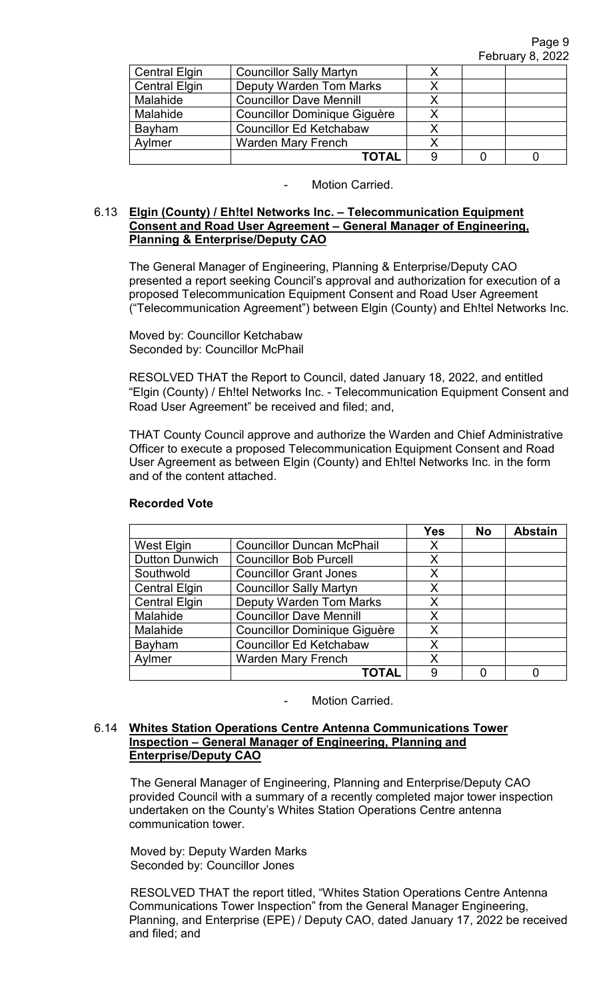| <b>Central Elgin</b> | <b>Councillor Sally Martyn</b>      |  |  |
|----------------------|-------------------------------------|--|--|
| <b>Central Elgin</b> | <b>Deputy Warden Tom Marks</b>      |  |  |
| Malahide             | <b>Councillor Dave Mennill</b>      |  |  |
| Malahide             | <b>Councillor Dominique Giguère</b> |  |  |
| Bayham               | <b>Councillor Ed Ketchabaw</b>      |  |  |
| Aylmer               | <b>Warden Mary French</b>           |  |  |
|                      | ΤΟΤΑL                               |  |  |

# 6.13 **Elgin (County) / Eh!tel Networks Inc. – Telecommunication Equipment Consent and Road User Agreement – General Manager of Engineering, Planning & Enterprise/Deputy CAO**

The General Manager of Engineering, Planning & Enterprise/Deputy CAO presented a report seeking Council's approval and authorization for execution of a proposed Telecommunication Equipment Consent and Road User Agreement ("Telecommunication Agreement") between Elgin (County) and Eh!tel Networks Inc.

Moved by: Councillor Ketchabaw Seconded by: Councillor McPhail

RESOLVED THAT the Report to Council, dated January 18, 2022, and entitled "Elgin (County) / Eh!tel Networks Inc. - Telecommunication Equipment Consent and Road User Agreement" be received and filed; and,

THAT County Council approve and authorize the Warden and Chief Administrative Officer to execute a proposed Telecommunication Equipment Consent and Road User Agreement as between Elgin (County) and Eh!tel Networks Inc. in the form and of the content attached.

|                       |                                     | <b>Yes</b> | <b>No</b> | <b>Abstain</b> |
|-----------------------|-------------------------------------|------------|-----------|----------------|
| <b>West Elgin</b>     | <b>Councillor Duncan McPhail</b>    | X          |           |                |
| <b>Dutton Dunwich</b> | <b>Councillor Bob Purcell</b>       | X          |           |                |
| Southwold             | <b>Councillor Grant Jones</b>       | X          |           |                |
| <b>Central Elgin</b>  | <b>Councillor Sally Martyn</b>      | X          |           |                |
| <b>Central Elgin</b>  | <b>Deputy Warden Tom Marks</b>      | X          |           |                |
| Malahide              | <b>Councillor Dave Mennill</b>      | X          |           |                |
| Malahide              | <b>Councillor Dominique Giguère</b> | X          |           |                |
| Bayham                | <b>Councillor Ed Ketchabaw</b>      | X          |           |                |
| Aylmer                | <b>Warden Mary French</b>           | X          |           |                |
|                       | <b>TOTAI</b>                        | 9          |           |                |

## **Recorded Vote**

Motion Carried.

### 6.14 **Whites Station Operations Centre Antenna Communications Tower Inspection – General Manager of Engineering, Planning and Enterprise/Deputy CAO**

The General Manager of Engineering, Planning and Enterprise/Deputy CAO provided Council with a summary of a recently completed major tower inspection undertaken on the County's Whites Station Operations Centre antenna communication tower.

Moved by: Deputy Warden Marks Seconded by: Councillor Jones

RESOLVED THAT the report titled, "Whites Station Operations Centre Antenna Communications Tower Inspection" from the General Manager Engineering, Planning, and Enterprise (EPE) / Deputy CAO, dated January 17, 2022 be received and filed; and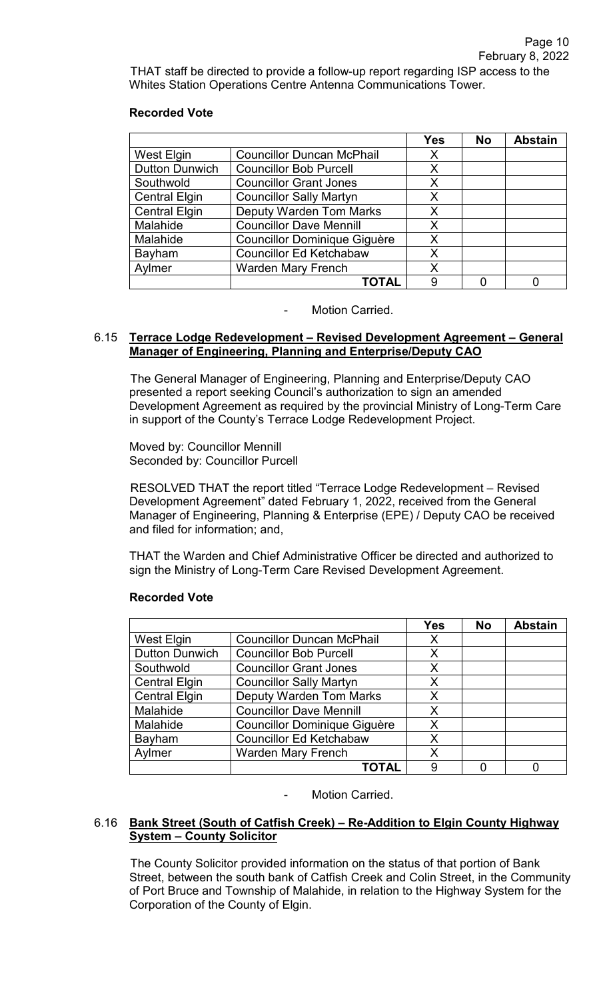THAT staff be directed to provide a follow-up report regarding ISP access to the Whites Station Operations Centre Antenna Communications Tower.

### **Recorded Vote**

|                       |                                     | <b>Yes</b> | <b>No</b> | <b>Abstain</b> |
|-----------------------|-------------------------------------|------------|-----------|----------------|
| West Elgin            | <b>Councillor Duncan McPhail</b>    | Х          |           |                |
| <b>Dutton Dunwich</b> | <b>Councillor Bob Purcell</b>       | X          |           |                |
| Southwold             | <b>Councillor Grant Jones</b>       | X          |           |                |
| <b>Central Elgin</b>  | <b>Councillor Sally Martyn</b>      | X          |           |                |
| <b>Central Elgin</b>  | <b>Deputy Warden Tom Marks</b>      | X          |           |                |
| Malahide              | <b>Councillor Dave Mennill</b>      | X          |           |                |
| Malahide              | <b>Councillor Dominique Giguère</b> | X          |           |                |
| Bayham                | <b>Councillor Ed Ketchabaw</b>      | X          |           |                |
| Aylmer                | <b>Warden Mary French</b>           | X          |           |                |
|                       | TOTAL                               | 9          |           |                |

#### Motion Carried.

### 6.15 **Terrace Lodge Redevelopment – Revised Development Agreement – General Manager of Engineering, Planning and Enterprise/Deputy CAO**

 The General Manager of Engineering, Planning and Enterprise/Deputy CAO presented a report seeking Council's authorization to sign an amended Development Agreement as required by the provincial Ministry of Long-Term Care in support of the County's Terrace Lodge Redevelopment Project.

 Moved by: Councillor Mennill Seconded by: Councillor Purcell

 RESOLVED THAT the report titled "Terrace Lodge Redevelopment – Revised Development Agreement" dated February 1, 2022, received from the General Manager of Engineering, Planning & Enterprise (EPE) / Deputy CAO be received and filed for information; and,

THAT the Warden and Chief Administrative Officer be directed and authorized to sign the Ministry of Long-Term Care Revised Development Agreement.

|                       |                                     | <b>Yes</b> | <b>No</b> | <b>Abstain</b> |
|-----------------------|-------------------------------------|------------|-----------|----------------|
| <b>West Elgin</b>     | <b>Councillor Duncan McPhail</b>    | X          |           |                |
| <b>Dutton Dunwich</b> | <b>Councillor Bob Purcell</b>       | X          |           |                |
| Southwold             | <b>Councillor Grant Jones</b>       | X          |           |                |
| <b>Central Elgin</b>  | <b>Councillor Sally Martyn</b>      | Χ          |           |                |
| <b>Central Elgin</b>  | <b>Deputy Warden Tom Marks</b>      | X          |           |                |
| Malahide              | <b>Councillor Dave Mennill</b>      | X          |           |                |
| Malahide              | <b>Councillor Dominique Giguère</b> | Χ          |           |                |
| Bayham                | <b>Councillor Ed Ketchabaw</b>      | X          |           |                |
| Aylmer                | <b>Warden Mary French</b>           | Χ          |           |                |
|                       | ΤΟΤΑΙ                               | 9          |           |                |

#### **Recorded Vote**

Motion Carried.

### 6.16 **Bank Street (South of Catfish Creek) – Re-Addition to Elgin County Highway System – County Solicitor**

The County Solicitor provided information on the status of that portion of Bank Street, between the south bank of Catfish Creek and Colin Street, in the Community of Port Bruce and Township of Malahide, in relation to the Highway System for the Corporation of the County of Elgin.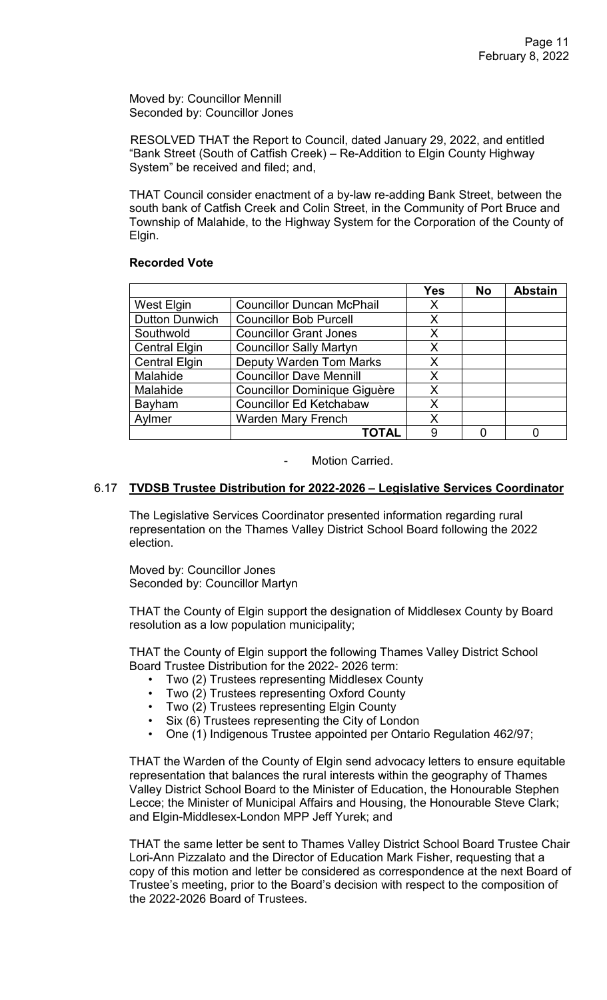Moved by: Councillor Mennill Seconded by: Councillor Jones

 RESOLVED THAT the Report to Council, dated January 29, 2022, and entitled "Bank Street (South of Catfish Creek) – Re-Addition to Elgin County Highway System" be received and filed; and,

THAT Council consider enactment of a by-law re-adding Bank Street, between the south bank of Catfish Creek and Colin Street, in the Community of Port Bruce and Township of Malahide, to the Highway System for the Corporation of the County of Elgin.

### **Recorded Vote**

|                       |                                     | <b>Yes</b> | <b>No</b> | <b>Abstain</b> |
|-----------------------|-------------------------------------|------------|-----------|----------------|
| West Elgin            | <b>Councillor Duncan McPhail</b>    | X          |           |                |
| <b>Dutton Dunwich</b> | <b>Councillor Bob Purcell</b>       | X          |           |                |
| Southwold             | <b>Councillor Grant Jones</b>       | X          |           |                |
| <b>Central Elgin</b>  | <b>Councillor Sally Martyn</b>      | X          |           |                |
| <b>Central Elgin</b>  | <b>Deputy Warden Tom Marks</b>      | X          |           |                |
| Malahide              | <b>Councillor Dave Mennill</b>      | X          |           |                |
| Malahide              | <b>Councillor Dominique Giguère</b> | X          |           |                |
| Bayham                | <b>Councillor Ed Ketchabaw</b>      | X          |           |                |
| Aylmer                | <b>Warden Mary French</b>           | X          |           |                |
|                       | ΤΟΤΑL                               | 9          |           |                |

Motion Carried.

# 6.17 **TVDSB Trustee Distribution for 2022-2026 – Legislative Services Coordinator**

 The Legislative Services Coordinator presented information regarding rural representation on the Thames Valley District School Board following the 2022 election.

 Moved by: Councillor Jones Seconded by: Councillor Martyn

 THAT the County of Elgin support the designation of Middlesex County by Board resolution as a low population municipality;

 THAT the County of Elgin support the following Thames Valley District School Board Trustee Distribution for the 2022- 2026 term:

- Two (2) Trustees representing Middlesex County
- Two (2) Trustees representing Oxford County
- Two (2) Trustees representing Elgin County
- Six (6) Trustees representing the City of London
- One (1) Indigenous Trustee appointed per Ontario Regulation 462/97;

 THAT the Warden of the County of Elgin send advocacy letters to ensure equitable representation that balances the rural interests within the geography of Thames Valley District School Board to the Minister of Education, the Honourable Stephen Lecce; the Minister of Municipal Affairs and Housing, the Honourable Steve Clark; and Elgin-Middlesex-London MPP Jeff Yurek; and

 THAT the same letter be sent to Thames Valley District School Board Trustee Chair Lori-Ann Pizzalato and the Director of Education Mark Fisher, requesting that a copy of this motion and letter be considered as correspondence at the next Board of Trustee's meeting, prior to the Board's decision with respect to the composition of the 2022-2026 Board of Trustees.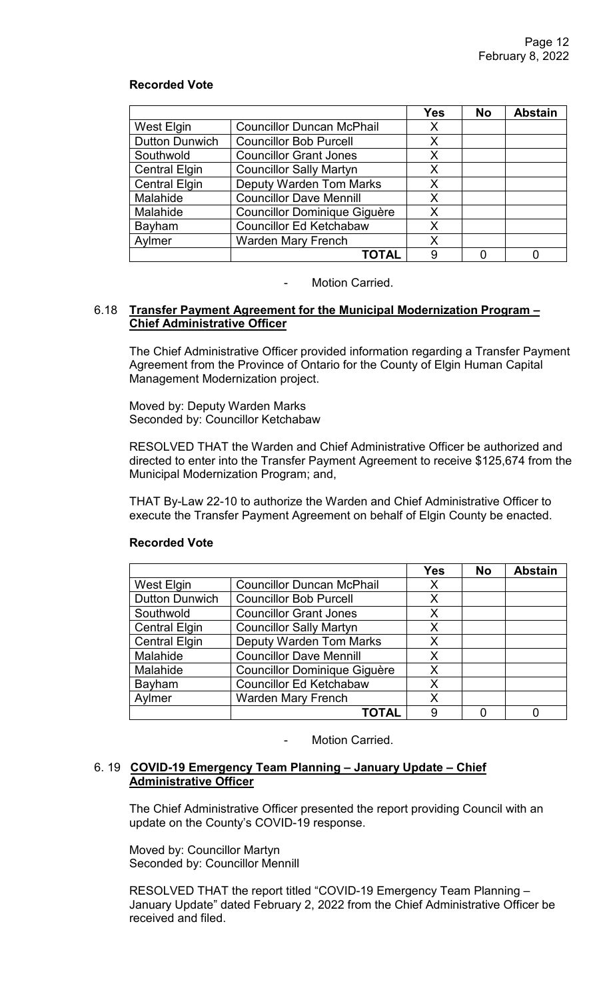|                       |                                     | <b>Yes</b> | <b>No</b> | <b>Abstain</b> |
|-----------------------|-------------------------------------|------------|-----------|----------------|
| West Elgin            | <b>Councillor Duncan McPhail</b>    | Х          |           |                |
| <b>Dutton Dunwich</b> | <b>Councillor Bob Purcell</b>       | X          |           |                |
| Southwold             | <b>Councillor Grant Jones</b>       | X          |           |                |
| <b>Central Elgin</b>  | <b>Councillor Sally Martyn</b>      | X          |           |                |
| <b>Central Elgin</b>  | <b>Deputy Warden Tom Marks</b>      | X          |           |                |
| Malahide              | <b>Councillor Dave Mennill</b>      | X          |           |                |
| Malahide              | <b>Councillor Dominique Giguère</b> | X          |           |                |
| Bayham                | <b>Councillor Ed Ketchabaw</b>      | X          |           |                |
| Aylmer                | <b>Warden Mary French</b>           | X          |           |                |
|                       | ΤΟΤΑΙ                               | 9          |           |                |

#### Motion Carried.

### 6.18 **Transfer Payment Agreement for the Municipal Modernization Program – Chief Administrative Officer**

 The Chief Administrative Officer provided information regarding a Transfer Payment Agreement from the Province of Ontario for the County of Elgin Human Capital Management Modernization project.

 Moved by: Deputy Warden Marks Seconded by: Councillor Ketchabaw

 RESOLVED THAT the Warden and Chief Administrative Officer be authorized and directed to enter into the Transfer Payment Agreement to receive \$125,674 from the Municipal Modernization Program; and,

 THAT By-Law 22-10 to authorize the Warden and Chief Administrative Officer to execute the Transfer Payment Agreement on behalf of Elgin County be enacted.

|                       |                                     | <b>Yes</b> | <b>No</b> | <b>Abstain</b> |
|-----------------------|-------------------------------------|------------|-----------|----------------|
| West Elgin            | <b>Councillor Duncan McPhail</b>    | X          |           |                |
| <b>Dutton Dunwich</b> | <b>Councillor Bob Purcell</b>       | X          |           |                |
| Southwold             | <b>Councillor Grant Jones</b>       | Χ          |           |                |
| <b>Central Elgin</b>  | <b>Councillor Sally Martyn</b>      | X          |           |                |
| <b>Central Elgin</b>  | <b>Deputy Warden Tom Marks</b>      | X          |           |                |
| Malahide              | <b>Councillor Dave Mennill</b>      | X          |           |                |
| Malahide              | <b>Councillor Dominique Giguère</b> | X          |           |                |
| Bayham                | <b>Councillor Ed Ketchabaw</b>      | X          |           |                |
| Aylmer                | <b>Warden Mary French</b>           | Χ          |           |                |
|                       | TOTAL                               | 9          |           |                |

#### **Recorded Vote**

- Motion Carried.

## 6. 19 **COVID-19 Emergency Team Planning – January Update – Chief Administrative Officer**

 The Chief Administrative Officer presented the report providing Council with an update on the County's COVID-19 response.

 Moved by: Councillor Martyn Seconded by: Councillor Mennill

 RESOLVED THAT the report titled "COVID-19 Emergency Team Planning – January Update" dated February 2, 2022 from the Chief Administrative Officer be received and filed.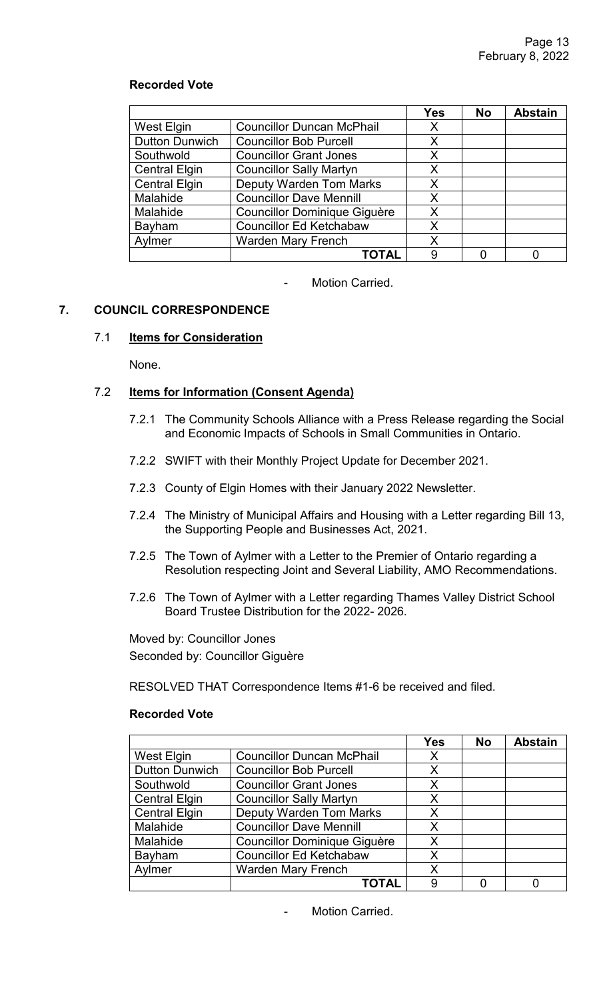|                       |                                     | <b>Yes</b> | <b>No</b> | <b>Abstain</b> |
|-----------------------|-------------------------------------|------------|-----------|----------------|
| <b>West Elgin</b>     | <b>Councillor Duncan McPhail</b>    | X          |           |                |
| <b>Dutton Dunwich</b> | <b>Councillor Bob Purcell</b>       | X          |           |                |
| Southwold             | <b>Councillor Grant Jones</b>       | X          |           |                |
| <b>Central Elgin</b>  | <b>Councillor Sally Martyn</b>      | X          |           |                |
| <b>Central Elgin</b>  | <b>Deputy Warden Tom Marks</b>      | X          |           |                |
| Malahide              | <b>Councillor Dave Mennill</b>      | X          |           |                |
| Malahide              | <b>Councillor Dominique Giguère</b> | X          |           |                |
| Bayham                | <b>Councillor Ed Ketchabaw</b>      | X          |           |                |
| Aylmer                | <b>Warden Mary French</b>           | X          |           |                |
|                       | <b>TOTAL</b>                        | 9          |           |                |

- Motion Carried.

# **7. COUNCIL CORRESPONDENCE**

# 7.1 **Items for Consideration**

None.

### 7.2 **Items for Information (Consent Agenda)**

- 7.2.1 The Community Schools Alliance with a Press Release regarding the Social and Economic Impacts of Schools in Small Communities in Ontario.
- 7.2.2 SWIFT with their Monthly Project Update for December 2021.
- 7.2.3 County of Elgin Homes with their January 2022 Newsletter.
- 7.2.4 The Ministry of Municipal Affairs and Housing with a Letter regarding Bill 13, the Supporting People and Businesses Act, 2021.
- 7.2.5 The Town of Aylmer with a Letter to the Premier of Ontario regarding a Resolution respecting Joint and Several Liability, AMO Recommendations.
- 7.2.6 The Town of Aylmer with a Letter regarding Thames Valley District School Board Trustee Distribution for the 2022- 2026.

Moved by: Councillor Jones Seconded by: Councillor Giguère

RESOLVED THAT Correspondence Items #1-6 be received and filed.

#### **Recorded Vote**

|                       |                                     | Yes | <b>No</b> | <b>Abstain</b> |
|-----------------------|-------------------------------------|-----|-----------|----------------|
| West Elgin            | <b>Councillor Duncan McPhail</b>    | Х   |           |                |
| <b>Dutton Dunwich</b> | <b>Councillor Bob Purcell</b>       | Х   |           |                |
| Southwold             | <b>Councillor Grant Jones</b>       | X   |           |                |
| <b>Central Elgin</b>  | <b>Councillor Sally Martyn</b>      | Χ   |           |                |
| <b>Central Elgin</b>  | <b>Deputy Warden Tom Marks</b>      | X   |           |                |
| Malahide              | <b>Councillor Dave Mennill</b>      | X   |           |                |
| Malahide              | <b>Councillor Dominique Giguère</b> | X   |           |                |
| Bayham                | <b>Councillor Ed Ketchabaw</b>      | Χ   |           |                |
| Aylmer                | <b>Warden Mary French</b>           | X   |           |                |
|                       | <b>TOTAL</b>                        | 9   |           |                |

Motion Carried.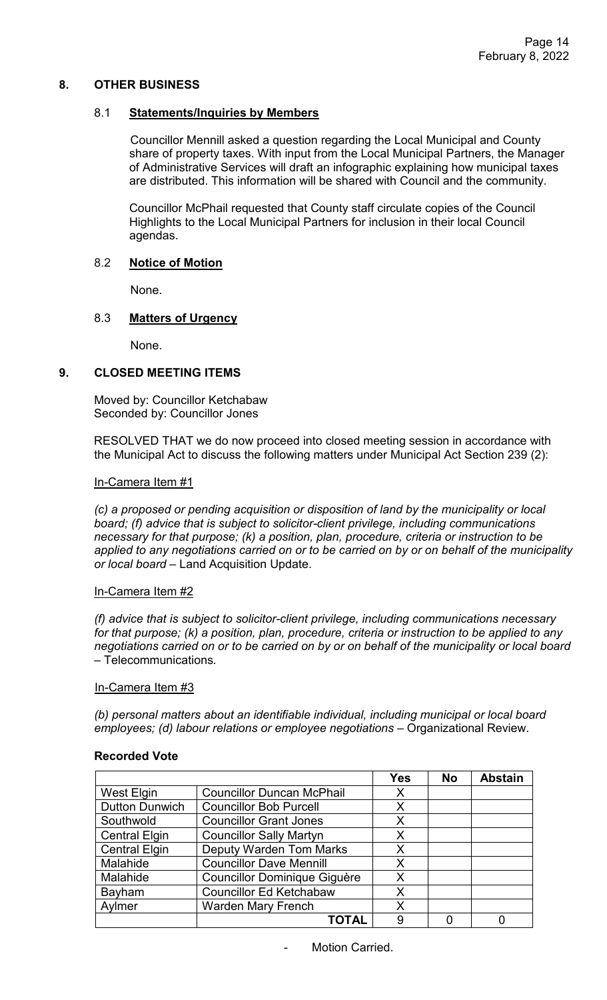### **8. OTHER BUSINESS**

### 8.1 **Statements/Inquiries by Members**

Councillor Mennill asked a question regarding the Local Municipal and County share of property taxes. With input from the Local Municipal Partners, the Manager of Administrative Services will draft an infographic explaining how municipal taxes are distributed. This information will be shared with Council and the community.

Councillor McPhail requested that County staff circulate copies of the Council Highlights to the Local Municipal Partners for inclusion in their local Council agendas.

### 8.2 **Notice of Motion**

None.

# 8.3 **Matters of Urgency**

None.

### **9. CLOSED MEETING ITEMS**

Moved by: Councillor Ketchabaw Seconded by: Councillor Jones

RESOLVED THAT we do now proceed into closed meeting session in accordance with the Municipal Act to discuss the following matters under Municipal Act Section 239 (2):

#### In-Camera Item #1

*(c) a proposed or pending acquisition or disposition of land by the municipality or local board; (f) advice that is subject to solicitor-client privilege, including communications necessary for that purpose; (k) a position, plan, procedure, criteria or instruction to be applied to any negotiations carried on or to be carried on by or on behalf of the municipality or local board –* Land Acquisition Update.

#### In-Camera Item #2

*(f) advice that is subject to solicitor-client privilege, including communications necessary for that purpose; (k) a position, plan, procedure, criteria or instruction to be applied to any negotiations carried on or to be carried on by or on behalf of the municipality or local board* – Telecommunications*.* 

#### In-Camera Item #3

*(b) personal matters about an identifiable individual, including municipal or local board employees; (d) labour relations or employee negotiations* – Organizational Review.

|                       |                                     | Yes | <b>No</b> | <b>Abstain</b> |
|-----------------------|-------------------------------------|-----|-----------|----------------|
| West Elgin            | <b>Councillor Duncan McPhail</b>    | X   |           |                |
| <b>Dutton Dunwich</b> | <b>Councillor Bob Purcell</b>       | X   |           |                |
| Southwold             | <b>Councillor Grant Jones</b>       | X   |           |                |
| <b>Central Elgin</b>  | <b>Councillor Sally Martyn</b>      | X   |           |                |
| <b>Central Elgin</b>  | <b>Deputy Warden Tom Marks</b>      | X   |           |                |
| Malahide              | <b>Councillor Dave Mennill</b>      | X   |           |                |
| Malahide              | <b>Councillor Dominique Giguère</b> | X   |           |                |
| Bayham                | <b>Councillor Ed Ketchabaw</b>      | X   |           |                |
| Aylmer                | <b>Warden Mary French</b>           | X   |           |                |
|                       | <b>TOTAL</b>                        | 9   |           |                |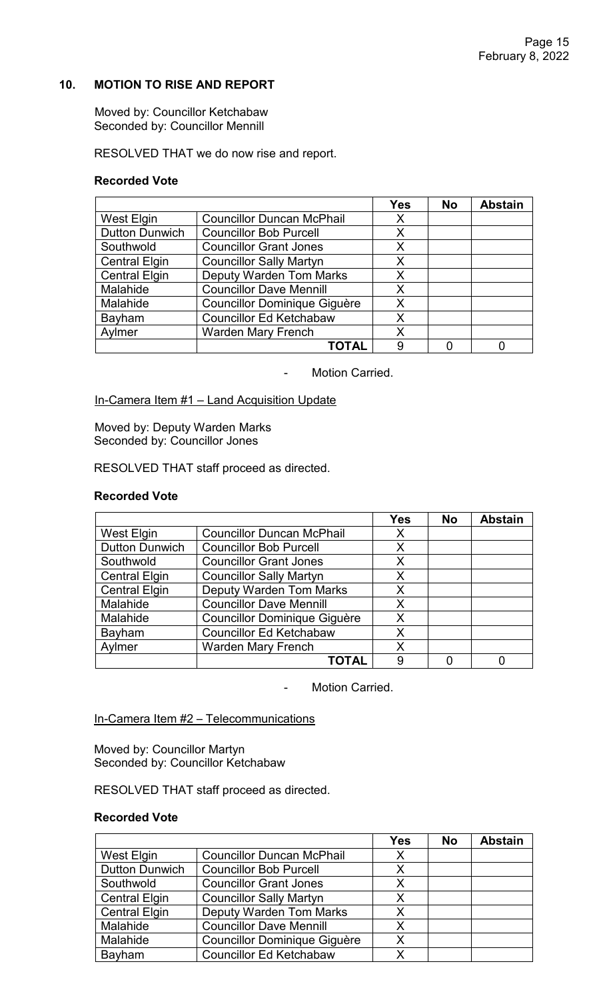# **10. MOTION TO RISE AND REPORT**

Moved by: Councillor Ketchabaw Seconded by: Councillor Mennill

RESOLVED THAT we do now rise and report.

### **Recorded Vote**

|                       |                                     | Yes | <b>No</b> | <b>Abstain</b> |
|-----------------------|-------------------------------------|-----|-----------|----------------|
| <b>West Elgin</b>     | <b>Councillor Duncan McPhail</b>    | X   |           |                |
| <b>Dutton Dunwich</b> | <b>Councillor Bob Purcell</b>       | X   |           |                |
| Southwold             | <b>Councillor Grant Jones</b>       | X   |           |                |
| <b>Central Elgin</b>  | <b>Councillor Sally Martyn</b>      | X   |           |                |
| <b>Central Elgin</b>  | <b>Deputy Warden Tom Marks</b>      | X   |           |                |
| Malahide              | <b>Councillor Dave Mennill</b>      | X   |           |                |
| Malahide              | <b>Councillor Dominique Giguère</b> | X   |           |                |
| Bayham                | <b>Councillor Ed Ketchabaw</b>      | X   |           |                |
| Aylmer                | <b>Warden Mary French</b>           | X   |           |                |
|                       | TOTAL                               | 9   |           |                |

- Motion Carried.

In-Camera Item #1 – Land Acquisition Update

Moved by: Deputy Warden Marks Seconded by: Councillor Jones

RESOLVED THAT staff proceed as directed.

## **Recorded Vote**

|                       |                                     | <b>Yes</b> | <b>No</b> | <b>Abstain</b> |
|-----------------------|-------------------------------------|------------|-----------|----------------|
| West Elgin            | <b>Councillor Duncan McPhail</b>    | X          |           |                |
| <b>Dutton Dunwich</b> | <b>Councillor Bob Purcell</b>       | X          |           |                |
| Southwold             | <b>Councillor Grant Jones</b>       | X          |           |                |
| <b>Central Elgin</b>  | <b>Councillor Sally Martyn</b>      | X          |           |                |
| <b>Central Elgin</b>  | <b>Deputy Warden Tom Marks</b>      | X          |           |                |
| Malahide              | <b>Councillor Dave Mennill</b>      | X          |           |                |
| Malahide              | <b>Councillor Dominique Giguère</b> | X          |           |                |
| Bayham                | <b>Councillor Ed Ketchabaw</b>      | X          |           |                |
| Aylmer                | <b>Warden Mary French</b>           | X          |           |                |
|                       | TOTAL                               | 9          |           |                |

- Motion Carried.

In-Camera Item #2 - Telecommunications

Moved by: Councillor Martyn Seconded by: Councillor Ketchabaw

RESOLVED THAT staff proceed as directed.

|                       |                                     | <b>Yes</b> | <b>No</b> | <b>Abstain</b> |
|-----------------------|-------------------------------------|------------|-----------|----------------|
| West Elgin            | <b>Councillor Duncan McPhail</b>    | Χ          |           |                |
| <b>Dutton Dunwich</b> | <b>Councillor Bob Purcell</b>       | Χ          |           |                |
| Southwold             | <b>Councillor Grant Jones</b>       | X          |           |                |
| <b>Central Elgin</b>  | <b>Councillor Sally Martyn</b>      | X          |           |                |
| <b>Central Elgin</b>  | <b>Deputy Warden Tom Marks</b>      | X          |           |                |
| Malahide              | <b>Councillor Dave Mennill</b>      | Χ          |           |                |
| Malahide              | <b>Councillor Dominique Giguère</b> | Χ          |           |                |
| Bayham                | <b>Councillor Ed Ketchabaw</b>      | x          |           |                |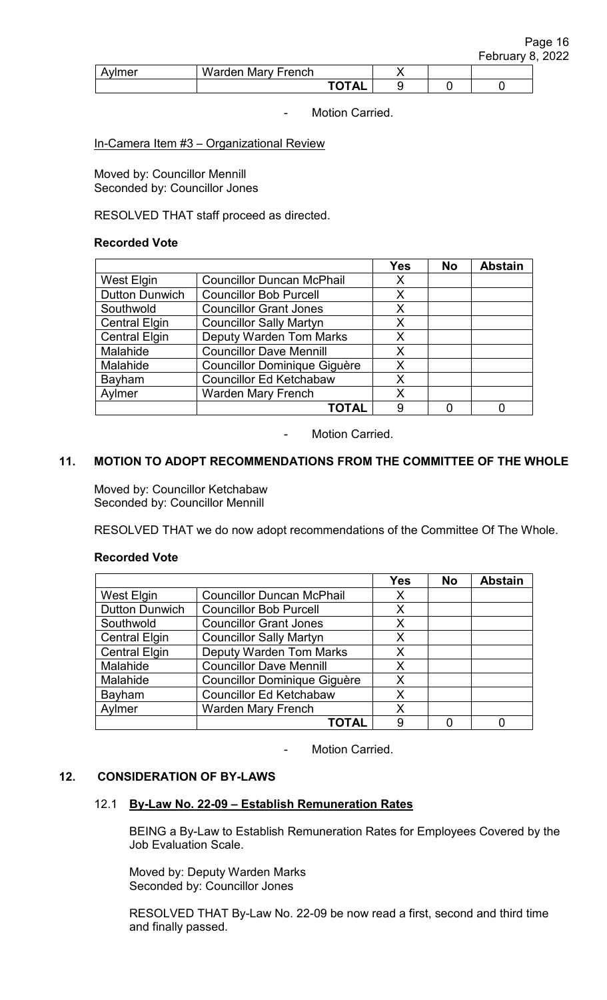| wmer | Warden<br>Mary French |                                          |  |  |
|------|-----------------------|------------------------------------------|--|--|
|      |                       | $T$ $\cap$ $T$ $\wedge$ $\wedge$<br>. AL |  |  |

### In-Camera Item #3 – Organizational Review

Moved by: Councillor Mennill Seconded by: Councillor Jones

RESOLVED THAT staff proceed as directed.

## **Recorded Vote**

|                       |                                     | <b>Yes</b> | <b>No</b> | <b>Abstain</b> |
|-----------------------|-------------------------------------|------------|-----------|----------------|
| <b>West Elgin</b>     | <b>Councillor Duncan McPhail</b>    | X          |           |                |
| <b>Dutton Dunwich</b> | <b>Councillor Bob Purcell</b>       | Х          |           |                |
| Southwold             | <b>Councillor Grant Jones</b>       | X          |           |                |
| <b>Central Elgin</b>  | <b>Councillor Sally Martyn</b>      | Χ          |           |                |
| <b>Central Elgin</b>  | <b>Deputy Warden Tom Marks</b>      | X          |           |                |
| Malahide              | <b>Councillor Dave Mennill</b>      | X          |           |                |
| Malahide              | <b>Councillor Dominique Giguère</b> | X          |           |                |
| Bayham                | <b>Councillor Ed Ketchabaw</b>      | Χ          |           |                |
| Aylmer                | <b>Warden Mary French</b>           | Χ          |           |                |
|                       | <b>TOTAL</b>                        | 9          |           |                |

- Motion Carried.

# **11. MOTION TO ADOPT RECOMMENDATIONS FROM THE COMMITTEE OF THE WHOLE**

Moved by: Councillor Ketchabaw Seconded by: Councillor Mennill

RESOLVED THAT we do now adopt recommendations of the Committee Of The Whole.

#### **Recorded Vote**

|                       |                                     | <b>Yes</b> | <b>No</b> | <b>Abstain</b> |
|-----------------------|-------------------------------------|------------|-----------|----------------|
| West Elgin            | <b>Councillor Duncan McPhail</b>    | Χ          |           |                |
| <b>Dutton Dunwich</b> | <b>Councillor Bob Purcell</b>       | Χ          |           |                |
| Southwold             | <b>Councillor Grant Jones</b>       | X          |           |                |
| <b>Central Elgin</b>  | <b>Councillor Sally Martyn</b>      | X          |           |                |
| <b>Central Elgin</b>  | <b>Deputy Warden Tom Marks</b>      | X          |           |                |
| Malahide              | <b>Councillor Dave Mennill</b>      | X          |           |                |
| Malahide              | <b>Councillor Dominique Giguère</b> | Χ          |           |                |
| Bayham                | <b>Councillor Ed Ketchabaw</b>      | X          |           |                |
| Aylmer                | <b>Warden Mary French</b>           | Χ          |           |                |
|                       | TOTAL                               | 9          |           |                |

Motion Carried.

# **12. CONSIDERATION OF BY-LAWS**

#### 12.1 **By-Law No. 22-09 – Establish Remuneration Rates**

BEING a By-Law to Establish Remuneration Rates for Employees Covered by the Job Evaluation Scale.

Moved by: Deputy Warden Marks Seconded by: Councillor Jones

RESOLVED THAT By-Law No. 22-09 be now read a first, second and third time and finally passed.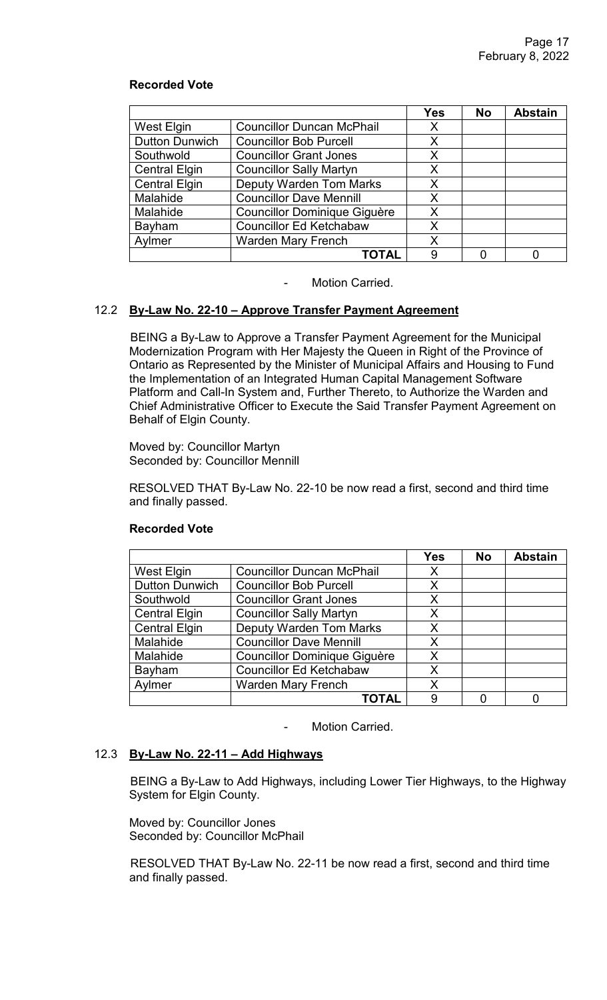|                       |                                     | <b>Yes</b> | <b>No</b> | <b>Abstain</b> |
|-----------------------|-------------------------------------|------------|-----------|----------------|
| West Elgin            | <b>Councillor Duncan McPhail</b>    | Х          |           |                |
| <b>Dutton Dunwich</b> | <b>Councillor Bob Purcell</b>       | X          |           |                |
| Southwold             | <b>Councillor Grant Jones</b>       | X          |           |                |
| <b>Central Elgin</b>  | <b>Councillor Sally Martyn</b>      | X          |           |                |
| <b>Central Elgin</b>  | <b>Deputy Warden Tom Marks</b>      | X          |           |                |
| Malahide              | <b>Councillor Dave Mennill</b>      | X          |           |                |
| Malahide              | <b>Councillor Dominique Giguère</b> | X          |           |                |
| Bayham                | <b>Councillor Ed Ketchabaw</b>      | X          |           |                |
| Aylmer                | <b>Warden Mary French</b>           | X          |           |                |
|                       | ΤΟΤΑΙ                               | 9          |           |                |

Motion Carried.

# 12.2 **By-Law No. 22-10 – Approve Transfer Payment Agreement**

 BEING a By-Law to Approve a Transfer Payment Agreement for the Municipal Modernization Program with Her Majesty the Queen in Right of the Province of Ontario as Represented by the Minister of Municipal Affairs and Housing to Fund the Implementation of an Integrated Human Capital Management Software Platform and Call-In System and, Further Thereto, to Authorize the Warden and Chief Administrative Officer to Execute the Said Transfer Payment Agreement on Behalf of Elgin County.

Moved by: Councillor Martyn Seconded by: Councillor Mennill

RESOLVED THAT By-Law No. 22-10 be now read a first, second and third time and finally passed.

|                       |                                     | <b>Yes</b> | <b>No</b> | <b>Abstain</b> |
|-----------------------|-------------------------------------|------------|-----------|----------------|
| West Elgin            | <b>Councillor Duncan McPhail</b>    | X          |           |                |
| <b>Dutton Dunwich</b> | <b>Councillor Bob Purcell</b>       | X          |           |                |
| Southwold             | <b>Councillor Grant Jones</b>       | X          |           |                |
| <b>Central Elgin</b>  | <b>Councillor Sally Martyn</b>      | Χ          |           |                |
| <b>Central Elgin</b>  | <b>Deputy Warden Tom Marks</b>      | X          |           |                |
| Malahide              | <b>Councillor Dave Mennill</b>      | X          |           |                |
| Malahide              | <b>Councillor Dominique Giguère</b> | Χ          |           |                |
| Bayham                | <b>Councillor Ed Ketchabaw</b>      | X          |           |                |
| Aylmer                | <b>Warden Mary French</b>           | X          |           |                |
|                       | TOTAL                               | 9          |           |                |

# **Recorded Vote**

Motion Carried.

# 12.3 **By-Law No. 22-11 – Add Highways**

BEING a By-Law to Add Highways, including Lower Tier Highways, to the Highway System for Elgin County.

Moved by: Councillor Jones Seconded by: Councillor McPhail

RESOLVED THAT By-Law No. 22-11 be now read a first, second and third time and finally passed.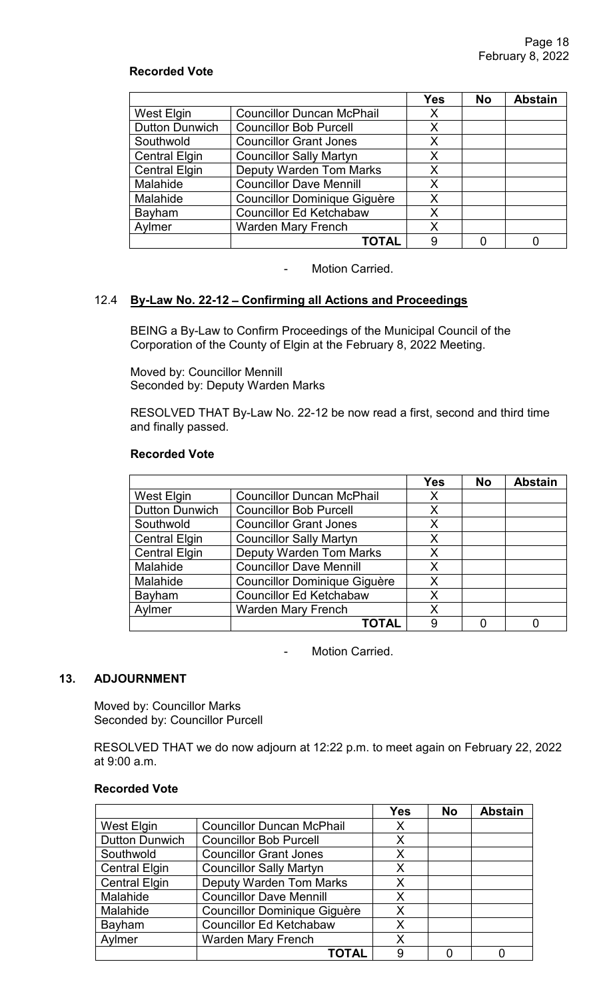|                       |                                     | <b>Yes</b> | <b>No</b> | <b>Abstain</b> |
|-----------------------|-------------------------------------|------------|-----------|----------------|
| West Elgin            | <b>Councillor Duncan McPhail</b>    | X          |           |                |
| <b>Dutton Dunwich</b> | <b>Councillor Bob Purcell</b>       | X          |           |                |
| Southwold             | <b>Councillor Grant Jones</b>       | X          |           |                |
| <b>Central Elgin</b>  | <b>Councillor Sally Martyn</b>      | X          |           |                |
| <b>Central Elgin</b>  | <b>Deputy Warden Tom Marks</b>      | X          |           |                |
| Malahide              | <b>Councillor Dave Mennill</b>      | X          |           |                |
| Malahide              | <b>Councillor Dominique Giguère</b> | X          |           |                |
| Bayham                | <b>Councillor Ed Ketchabaw</b>      | Χ          |           |                |
| Aylmer                | <b>Warden Mary French</b>           | Χ          |           |                |
|                       | <b>TOTAL</b>                        | 9          |           |                |

- Motion Carried.

# 12.4 **By-Law No. 22-12** – **Confirming all Actions and Proceedings**

BEING a By-Law to Confirm Proceedings of the Municipal Council of the Corporation of the County of Elgin at the February 8, 2022 Meeting.

Moved by: Councillor Mennill Seconded by: Deputy Warden Marks

RESOLVED THAT By-Law No. 22-12 be now read a first, second and third time and finally passed.

### **Recorded Vote**

|                       |                                     | <b>Yes</b> | <b>No</b> | <b>Abstain</b> |
|-----------------------|-------------------------------------|------------|-----------|----------------|
| West Elgin            | <b>Councillor Duncan McPhail</b>    | X          |           |                |
| <b>Dutton Dunwich</b> | <b>Councillor Bob Purcell</b>       | X          |           |                |
| Southwold             | <b>Councillor Grant Jones</b>       | X          |           |                |
| <b>Central Elgin</b>  | <b>Councillor Sally Martyn</b>      | X          |           |                |
| <b>Central Elgin</b>  | <b>Deputy Warden Tom Marks</b>      | X          |           |                |
| Malahide              | <b>Councillor Dave Mennill</b>      | X          |           |                |
| Malahide              | <b>Councillor Dominique Giguère</b> | X          |           |                |
| Bayham                | <b>Councillor Ed Ketchabaw</b>      | X          |           |                |
| Aylmer                | <b>Warden Mary French</b>           | Χ          |           |                |
|                       | TOTAL                               | 9          |           |                |

- Motion Carried.

# **13. ADJOURNMENT**

Moved by: Councillor Marks Seconded by: Councillor Purcell

RESOLVED THAT we do now adjourn at 12:22 p.m. to meet again on February 22, 2022 at 9:00 a.m.

|                       |                                     | <b>Yes</b> | <b>No</b> | <b>Abstain</b> |
|-----------------------|-------------------------------------|------------|-----------|----------------|
| <b>West Elgin</b>     | <b>Councillor Duncan McPhail</b>    | Χ          |           |                |
| <b>Dutton Dunwich</b> | <b>Councillor Bob Purcell</b>       | Χ          |           |                |
| Southwold             | <b>Councillor Grant Jones</b>       | Χ          |           |                |
| <b>Central Elgin</b>  | <b>Councillor Sally Martyn</b>      | Χ          |           |                |
| <b>Central Elgin</b>  | <b>Deputy Warden Tom Marks</b>      | X          |           |                |
| Malahide              | <b>Councillor Dave Mennill</b>      | X          |           |                |
| Malahide              | <b>Councillor Dominique Giguère</b> | Χ          |           |                |
| Bayham                | <b>Councillor Ed Ketchabaw</b>      | Χ          |           |                |
| Aylmer                | <b>Warden Mary French</b>           | Χ          |           |                |
|                       | <b>TOTAL</b>                        | 9          |           |                |